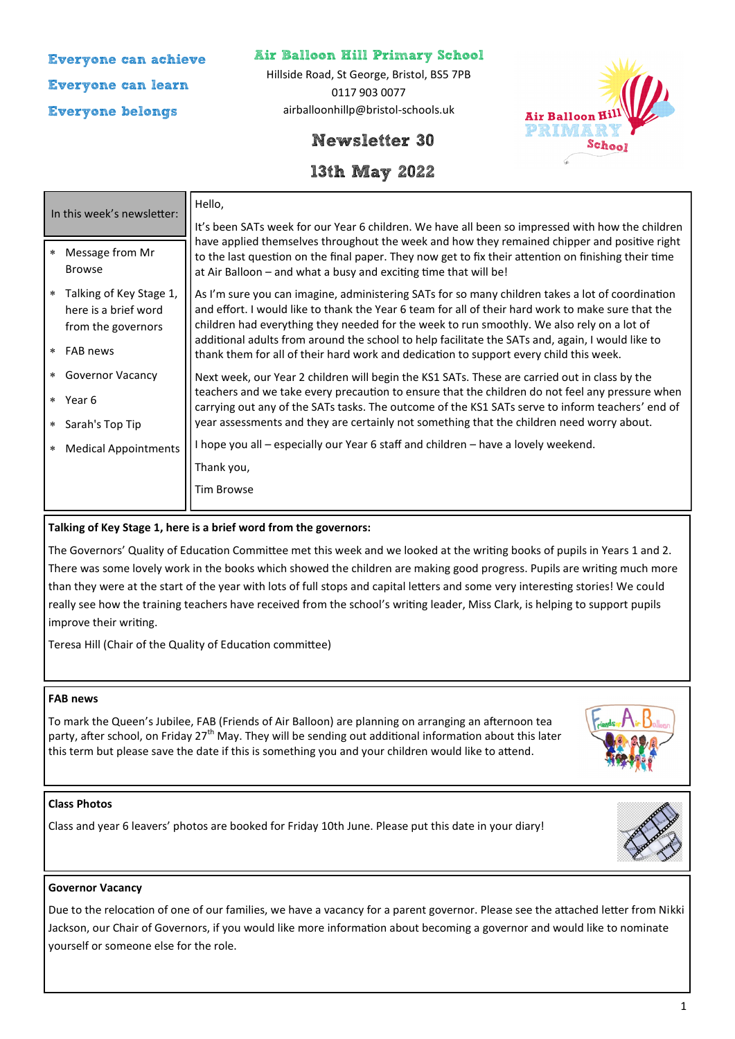**Everyone can achieve Everyone can learn Everyone belongs**

## **Air Balloon Hill Primary School**

Hillside Road, St George, Bristol, BS5 7PB 0117 903 0077 airballoonhillp@bristol-schools.uk



# **13th May 2022**



| In this week's newsletter: |                                                                                   | Hello,                                                                                                                                                                                                                                                                                                                                                                                                                                                                                             |
|----------------------------|-----------------------------------------------------------------------------------|----------------------------------------------------------------------------------------------------------------------------------------------------------------------------------------------------------------------------------------------------------------------------------------------------------------------------------------------------------------------------------------------------------------------------------------------------------------------------------------------------|
|                            |                                                                                   | It's been SATs week for our Year 6 children. We have all been so impressed with how the children                                                                                                                                                                                                                                                                                                                                                                                                   |
| $\ast$                     | Message from Mr<br><b>Browse</b>                                                  | have applied themselves throughout the week and how they remained chipper and positive right<br>to the last question on the final paper. They now get to fix their attention on finishing their time<br>at Air Balloon - and what a busy and exciting time that will be!                                                                                                                                                                                                                           |
| $\ast$<br>$\star$          | Talking of Key Stage 1,<br>here is a brief word<br>from the governors<br>FAB news | As I'm sure you can imagine, administering SATs for so many children takes a lot of coordination<br>and effort. I would like to thank the Year 6 team for all of their hard work to make sure that the<br>children had everything they needed for the week to run smoothly. We also rely on a lot of<br>additional adults from around the school to help facilitate the SATs and, again, I would like to<br>thank them for all of their hard work and dedication to support every child this week. |
| $\star$                    | <b>Governor Vacancy</b>                                                           | Next week, our Year 2 children will begin the KS1 SATs. These are carried out in class by the                                                                                                                                                                                                                                                                                                                                                                                                      |
|                            | * Year 6                                                                          | teachers and we take every precaution to ensure that the children do not feel any pressure when<br>carrying out any of the SATs tasks. The outcome of the KS1 SATs serve to inform teachers' end of<br>year assessments and they are certainly not something that the children need worry about.                                                                                                                                                                                                   |
| $\star$                    | Sarah's Top Tip                                                                   |                                                                                                                                                                                                                                                                                                                                                                                                                                                                                                    |
| $\star$                    | <b>Medical Appointments</b>                                                       | I hope you all – especially our Year 6 staff and children – have a lovely weekend.                                                                                                                                                                                                                                                                                                                                                                                                                 |
|                            |                                                                                   | Thank you,                                                                                                                                                                                                                                                                                                                                                                                                                                                                                         |
|                            |                                                                                   | Tim Browse                                                                                                                                                                                                                                                                                                                                                                                                                                                                                         |
|                            |                                                                                   |                                                                                                                                                                                                                                                                                                                                                                                                                                                                                                    |

## **Talking of Key Stage 1, here is a brief word from the governors:**

The Governors' Quality of Education Committee met this week and we looked at the writing books of pupils in Years 1 and 2. There was some lovely work in the books which showed the children are making good progress. Pupils are writing much more than they were at the start of the year with lots of full stops and capital letters and some very interesting stories! We could really see how the training teachers have received from the school's writing leader, Miss Clark, is helping to support pupils improve their writing.

Teresa Hill (Chair of the Quality of Education committee)

#### **FAB news**

To mark the Queen's Jubilee, FAB (Friends of Air Balloon) are planning on arranging an afternoon tea party, after school, on Friday 27<sup>th</sup> May. They will be sending out additional information about this later this term but please save the date if this is something you and your children would like to attend.



#### **Class Photos**

Class and year 6 leavers' photos are booked for Friday 10th June. Please put this date in your diary!



#### **Governor Vacancy**

Due to the relocation of one of our families, we have a vacancy for a parent governor. Please see the attached letter from Nikki Jackson, our Chair of Governors, if you would like more information about becoming a governor and would like to nominate yourself or someone else for the role.